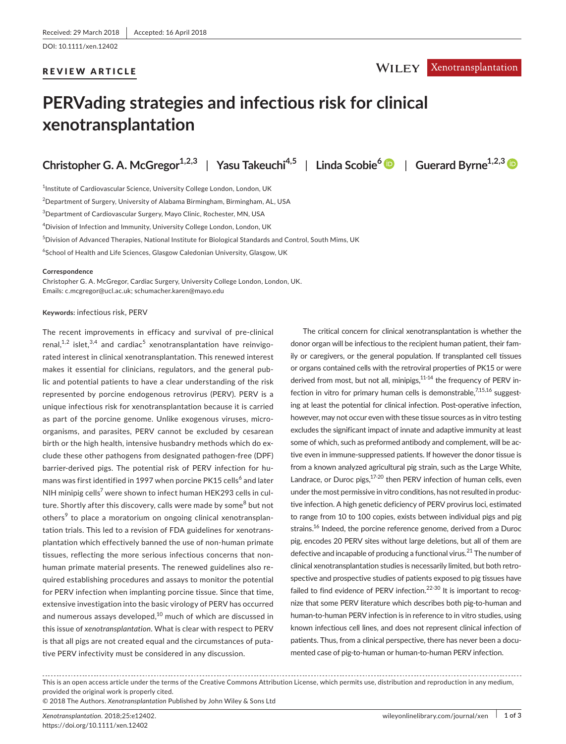## REVIEW ARTICLE

# WILEY Xenotransplantation

# **PERVading strategies and infectious risk for clinical xenotransplantation**

**Christopher G. A. McGregor1,2,3** | **Yasu Takeuchi4,5** | **Linda Scobie<sup>6</sup>** | **Guerard Byrne1,2,[3](http://orcid.org/0000-0003-1897-1289)**

<sup>1</sup>Institute of Cardiovascular Science, University College London, London, UK  $^2$ Department of Surgery, University of Alabama Birmingham, Birmingham, AL, USA  $^3$ Department of Cardiovascular Surgery, Mayo Clinic, Rochester, MN, USA 4 Division of Infection and Immunity, University College London, London, UK  $^5$ Division of Advanced Therapies, National Institute for Biological Standards and Control, South Mims, UK  $^6$ School of Health and Life Sciences, Glasgow Caledonian University, Glasgow, UK

#### **Correspondence**

Christopher G. A. McGregor, Cardiac Surgery, University College London, London, UK. Emails: [c.mcgregor@ucl.ac.uk;](mailto:c.mcgregor@ucl.ac.uk) [schumacher.karen@mayo.edu](mailto:schumacher.karen@mayo.edu)

#### **Keywords:** infectious risk, PERV

The recent improvements in efficacy and survival of pre-clinical renal, $^{1,2}$  islet, $^{3,4}$  and cardiac $^5$  xenotransplantation have reinvigorated interest in clinical xenotransplantation. This renewed interest makes it essential for clinicians, regulators, and the general public and potential patients to have a clear understanding of the risk represented by porcine endogenous retrovirus (PERV). PERV is a unique infectious risk for xenotransplantation because it is carried as part of the porcine genome. Unlike exogenous viruses, microorganisms, and parasites, PERV cannot be excluded by cesarean birth or the high health, intensive husbandry methods which do exclude these other pathogens from designated pathogen-free (DPF) barrier-derived pigs. The potential risk of PERV infection for humans was first identified in 1997 when porcine PK15 cells $^6$  and later NIH minipig cells $^7$  were shown to infect human HEK293 cells in culture. Shortly after this discovery, calls were made by some<sup>8</sup> but not others<sup>9</sup> to place a moratorium on ongoing clinical xenotransplantation trials. This led to a revision of FDA guidelines for xenotransplantation which effectively banned the use of non-human primate tissues, reflecting the more serious infectious concerns that nonhuman primate material presents. The renewed guidelines also required establishing procedures and assays to monitor the potential for PERV infection when implanting porcine tissue. Since that time, extensive investigation into the basic virology of PERV has occurred and numerous assays developed, $10$  much of which are discussed in this issue of *xenotransplantation*. What is clear with respect to PERV is that all pigs are not created equal and the circumstances of putative PERV infectivity must be considered in any discussion.

The critical concern for clinical xenotransplantation is whether the donor organ will be infectious to the recipient human patient, their family or caregivers, or the general population. If transplanted cell tissues or organs contained cells with the retroviral properties of PK15 or were derived from most, but not all, minipigs,<sup>11-14</sup> the frequency of PERV infection in vitro for primary human cells is demonstrable.<sup>7,15,16</sup> suggesting at least the potential for clinical infection. Post-operative infection, however, may not occur even with these tissue sources as in vitro testing excludes the significant impact of innate and adaptive immunity at least some of which, such as preformed antibody and complement, will be active even in immune-suppressed patients. If however the donor tissue is from a known analyzed agricultural pig strain, such as the Large White, Landrace, or Duroc pigs, $17-20$  then PERV infection of human cells, even under the most permissive in vitro conditions, has not resulted in productive infection. A high genetic deficiency of PERV provirus loci, estimated to range from 10 to 100 copies, exists between individual pigs and pig strains.<sup>16</sup> Indeed, the porcine reference genome, derived from a Duroc pig, encodes 20 PERV sites without large deletions, but all of them are defective and incapable of producing a functional virus.<sup>21</sup> The number of clinical xenotransplantation studies is necessarily limited, but both retrospective and prospective studies of patients exposed to pig tissues have failed to find evidence of PERV infection.<sup>22-30</sup> It is important to recognize that some PERV literature which describes both pig-to-human and human-to-human PERV infection is in reference to in vitro studies, using known infectious cell lines, and does not represent clinical infection of patients. Thus, from a clinical perspective, there has never been a documented case of pig-to-human or human-to-human PERV infection.

This is an open access article under the terms of the Creative Commons [Attribution](http://creativecommons.org/licenses/by/4.0/) License, which permits use, distribution and reproduction in any medium, provided the original work is properly cited.

© 2018 The Authors. *Xenotransplantation* Published by John Wiley & Sons Ltd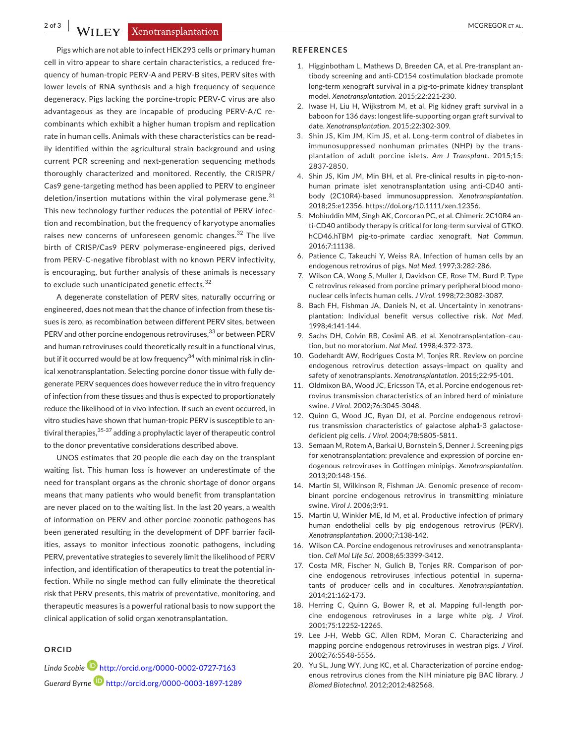**2 of 3 |**  MCGREGOR et al.

Pigs which are not able to infect HEK293 cells or primary human cell in vitro appear to share certain characteristics, a reduced frequency of human-tropic PERV-A and PERV-B sites, PERV sites with lower levels of RNA synthesis and a high frequency of sequence degeneracy. Pigs lacking the porcine-tropic PERV-C virus are also advantageous as they are incapable of producing PERV-A/C recombinants which exhibit a higher human tropism and replication rate in human cells. Animals with these characteristics can be readily identified within the agricultural strain background and using current PCR screening and next-generation sequencing methods thoroughly characterized and monitored. Recently, the CRISPR/ Cas9 gene-targeting method has been applied to PERV to engineer deletion/insertion mutations within the viral polymerase gene. $31$ This new technology further reduces the potential of PERV infection and recombination, but the frequency of karyotype anomalies raises new concerns of unforeseen genomic changes.<sup>32</sup> The live birth of CRISP/Cas9 PERV polymerase-engineered pigs, derived from PERV-C-negative fibroblast with no known PERV infectivity, is encouraging, but further analysis of these animals is necessary to exclude such unanticipated genetic effects.<sup>32</sup>

A degenerate constellation of PERV sites, naturally occurring or engineered, does not mean that the chance of infection from these tissues is zero, as recombination between different PERV sites, between PERV and other porcine endogenous retroviruses,<sup>33</sup> or between PERV and human retroviruses could theoretically result in a functional virus, but if it occurred would be at low frequency $34$  with minimal risk in clinical xenotransplantation. Selecting porcine donor tissue with fully degenerate PERV sequences does however reduce the in vitro frequency of infection from these tissues and thus is expected to proportionately reduce the likelihood of in vivo infection. If such an event occurred, in vitro studies have shown that human-tropic PERV is susceptible to antiviral therapies,  $35-37$  adding a prophylactic layer of therapeutic control to the donor preventative considerations described above.

UNOS estimates that 20 people die each day on the transplant waiting list. This human loss is however an underestimate of the need for transplant organs as the chronic shortage of donor organs means that many patients who would benefit from transplantation are never placed on to the waiting list. In the last 20 years, a wealth of information on PERV and other porcine zoonotic pathogens has been generated resulting in the development of DPF barrier facilities, assays to monitor infectious zoonotic pathogens, including PERV, preventative strategies to severely limit the likelihood of PERV infection, and identification of therapeutics to treat the potential infection. While no single method can fully eliminate the theoretical risk that PERV presents, this matrix of preventative, monitoring, and therapeutic measures is a powerful rational basis to now support the clinical application of solid organ xenotransplantation.

### **ORCID**

*Linda Scobi[e](http://orcid.org/0000-0002-0727-7163)* <http://orcid.org/0000-0002-0727-7163> *Guerard Byrne* <http://orcid.org/0000-0003-1897-1289>

#### **REFERENCES**

- 1. Higginbotham L, Mathews D, Breeden CA, et al. Pre-transplant antibody screening and anti-CD154 costimulation blockade promote long-term xenograft survival in a pig-to-primate kidney transplant model. *Xenotransplantation*. 2015;22:221‐230.
- 2. Iwase H, Liu H, Wijkstrom M, et al. Pig kidney graft survival in a baboon for 136 days: longest life-supporting organ graft survival to date. *Xenotransplantation*. 2015;22:302‐309.
- 3. Shin JS, Kim JM, Kim JS, et al. Long-term control of diabetes in immunosuppressed nonhuman primates (NHP) by the transplantation of adult porcine islets. *Am J Transplant*. 2015;15: 2837‐2850.
- 4. Shin JS, Kim JM, Min BH, et al. Pre-clinical results in pig-to-nonhuman primate islet xenotransplantation using anti-CD40 antibody (2C10R4)-based immunosuppression. *Xenotransplantation*. 2018;25:e12356. [https://doi.org/10.1111/xen.12356.](https://doi.org/10.1111/xen.12356)
- 5. Mohiuddin MM, Singh AK, Corcoran PC, et al. Chimeric 2C10R4 anti-CD40 antibody therapy is critical for long-term survival of GTKO. hCD46.hTBM pig-to-primate cardiac xenograft. *Nat Commun*. 2016;7:11138.
- 6. Patience C, Takeuchi Y, Weiss RA. Infection of human cells by an endogenous retrovirus of pigs. *Nat Med*. 1997;3:282‐286.
- 7. Wilson CA, Wong S, Muller J, Davidson CE, Rose TM, Burd P. Type C retrovirus released from porcine primary peripheral blood mononuclear cells infects human cells. *J Virol*. 1998;72:3082‐3087.
- 8. Bach FH, Fishman JA, Daniels N, et al. Uncertainty in xenotransplantation: Individual benefit versus collective risk. *Nat Med*. 1998;4:141‐144.
- 9. Sachs DH, Colvin RB, Cosimi AB, et al. Xenotransplantation-caution, but no moratorium. *Nat Med*. 1998;4:372‐373.
- 10. Godehardt AW, Rodrigues Costa M, Tonjes RR. Review on porcine endogenous retrovirus detection assays–impact on quality and safety of xenotransplants. *Xenotransplantation*. 2015;22:95‐101.
- 11. Oldmixon BA, Wood JC, Ericsson TA, et al. Porcine endogenous retrovirus transmission characteristics of an inbred herd of miniature swine. *J Virol*. 2002;76:3045‐3048.
- 12. Quinn G, Wood JC, Ryan DJ, et al. Porcine endogenous retrovirus transmission characteristics of galactose alpha1-3 galactosedeficient pig cells. *J Virol*. 2004;78:5805‐5811.
- 13. Semaan M, Rotem A, Barkai U, Bornstein S, Denner J. Screening pigs for xenotransplantation: prevalence and expression of porcine endogenous retroviruses in Gottingen minipigs. *Xenotransplantation*. 2013;20:148‐156.
- 14. Martin SI, Wilkinson R, Fishman JA. Genomic presence of recombinant porcine endogenous retrovirus in transmitting miniature swine. *Virol J*. 2006;3:91.
- 15. Martin U, Winkler ME, Id M, et al. Productive infection of primary human endothelial cells by pig endogenous retrovirus (PERV). *Xenotransplantation*. 2000;7:138‐142.
- 16. Wilson CA. Porcine endogenous retroviruses and xenotransplantation. *Cell Mol Life Sci*. 2008;65:3399‐3412.
- 17. Costa MR, Fischer N, Gulich B, Tonjes RR. Comparison of porcine endogenous retroviruses infectious potential in supernatants of producer cells and in cocultures. *Xenotransplantation*. 2014;21:162‐173.
- 18. Herring C, Quinn G, Bower R, et al. Mapping full-length porcine endogenous retroviruses in a large white pig. *J Virol*. 2001;75:12252‐12265.
- 19. Lee J-H, Webb GC, Allen RDM, Moran C. Characterizing and mapping porcine endogenous retroviruses in westran pigs. *J Virol*. 2002;76:5548‐5556.
- 20. Yu SL, Jung WY, Jung KC, et al. Characterization of porcine endogenous retrovirus clones from the NIH miniature pig BAC library. *J Biomed Biotechnol*. 2012;2012:482568.